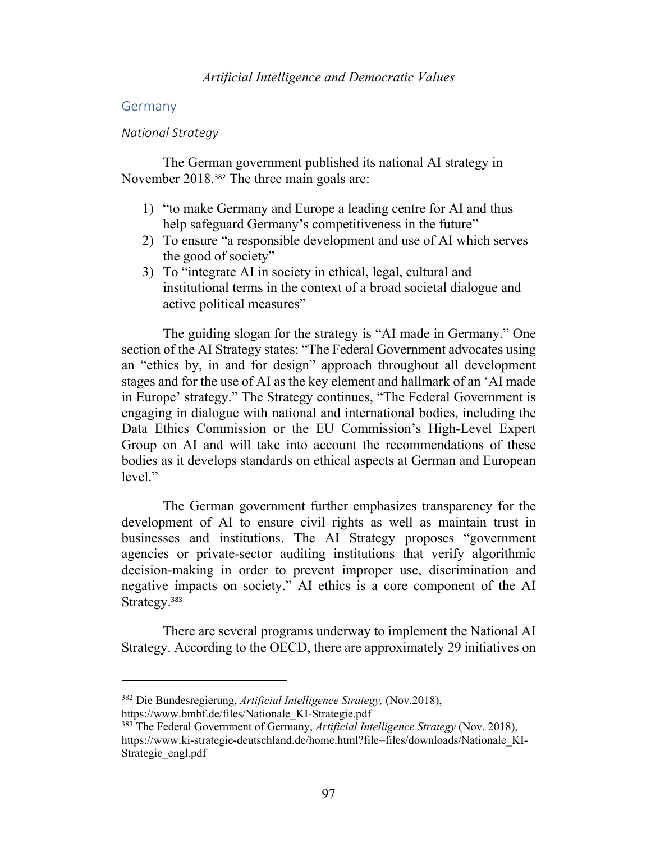## Germany

### *National Strategy*

The German government published its national AI strategy in November 2018.<sup>382</sup> The three main goals are:

- 1) "to make Germany and Europe a leading centre for AI and thus help safeguard Germany's competitiveness in the future"
- 2) To ensure "a responsible development and use of AI which serves the good of society"
- 3) To "integrate AI in society in ethical, legal, cultural and institutional terms in the context of a broad societal dialogue and active political measures"

The guiding slogan for the strategy is "AI made in Germany." One section of the AI Strategy states: "The Federal Government advocates using an "ethics by, in and for design" approach throughout all development stages and for the use of AI as the key element and hallmark of an 'AI made in Europe' strategy." The Strategy continues, "The Federal Government is engaging in dialogue with national and international bodies, including the Data Ethics Commission or the EU Commission's High-Level Expert Group on AI and will take into account the recommendations of these bodies as it develops standards on ethical aspects at German and European level."

The German government further emphasizes transparency for the development of AI to ensure civil rights as well as maintain trust in businesses and institutions. The AI Strategy proposes "government agencies or private-sector auditing institutions that verify algorithmic decision-making in order to prevent improper use, discrimination and negative impacts on society." AI ethics is a core component of the AI Strategy. 383

There are several programs underway to implement the National AI Strategy. According to the OECD, there are approximately 29 initiatives on

<sup>382</sup> Die Bundesregierung, *Artificial Intelligence Strategy,* (Nov.2018), https://www.bmbf.de/files/Nationale\_KI-Strategie.pdf

<sup>383</sup> The Federal Government of Germany, *Artificial Intelligence Strategy* (Nov. 2018), https://www.ki-strategie-deutschland.de/home.html?file=files/downloads/Nationale\_KI-Strategie engl.pdf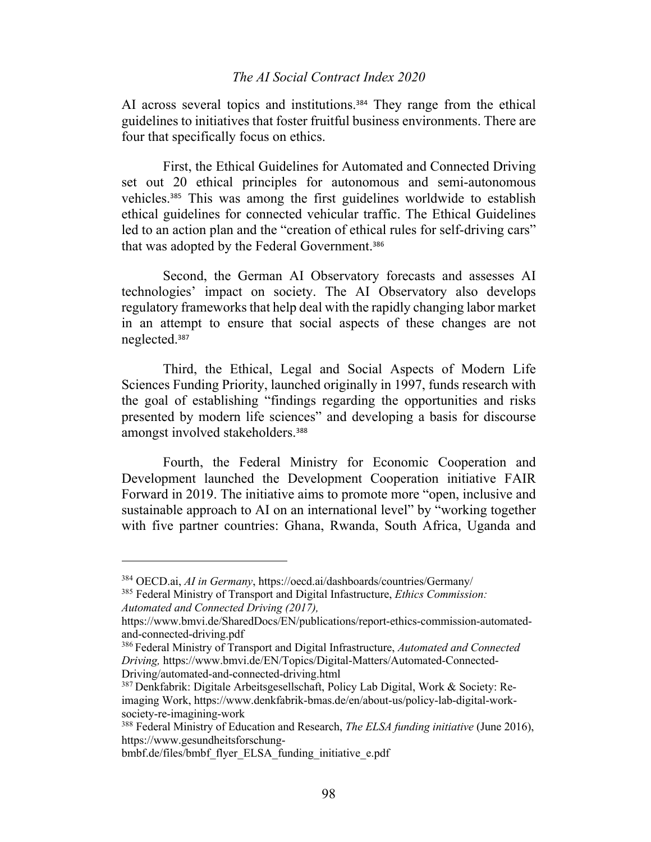AI across several topics and institutions. <sup>384</sup> They range from the ethical guidelines to initiatives that foster fruitful business environments. There are four that specifically focus on ethics.

First, the Ethical Guidelines for Automated and Connected Driving set out 20 ethical principles for autonomous and semi-autonomous vehicles. <sup>385</sup> This was among the first guidelines worldwide to establish ethical guidelines for connected vehicular traffic. The Ethical Guidelines led to an action plan and the "creation of ethical rules for self-driving cars" that was adopted by the Federal Government.<sup>386</sup>

Second, the German AI Observatory forecasts and assesses AI technologies' impact on society. The AI Observatory also develops regulatory frameworks that help deal with the rapidly changing labor market in an attempt to ensure that social aspects of these changes are not neglected.<sup>387</sup>

Third, the Ethical, Legal and Social Aspects of Modern Life Sciences Funding Priority, launched originally in 1997, funds research with the goal of establishing "findings regarding the opportunities and risks presented by modern life sciences" and developing a basis for discourse amongst involved stakeholders.<sup>388</sup>

Fourth, the Federal Ministry for Economic Cooperation and Development launched the Development Cooperation initiative FAIR Forward in 2019. The initiative aims to promote more "open, inclusive and sustainable approach to AI on an international level" by "working together with five partner countries: Ghana, Rwanda, South Africa, Uganda and

<sup>384</sup> OECD.ai, *AI in Germany*, https://oecd.ai/dashboards/countries/Germany/

<sup>385</sup> Federal Ministry of Transport and Digital Infastructure, *Ethics Commission: Automated and Connected Driving (2017),* 

https://www.bmvi.de/SharedDocs/EN/publications/report-ethics-commission-automatedand-connected-driving.pdf

<sup>386</sup> Federal Ministry of Transport and Digital Infrastructure, *Automated and Connected Driving,* https://www.bmvi.de/EN/Topics/Digital-Matters/Automated-Connected-Driving/automated-and-connected-driving.html

<sup>387</sup> Denkfabrik: Digitale Arbeitsgesellschaft, Policy Lab Digital, Work & Society: Reimaging Work, https://www.denkfabrik-bmas.de/en/about-us/policy-lab-digital-worksociety-re-imagining-work

<sup>388</sup> Federal Ministry of Education and Research, *The ELSA funding initiative* (June 2016), https://www.gesundheitsforschung-

bmbf.de/files/bmbf\_flyer\_ELSA\_funding\_initiative\_e.pdf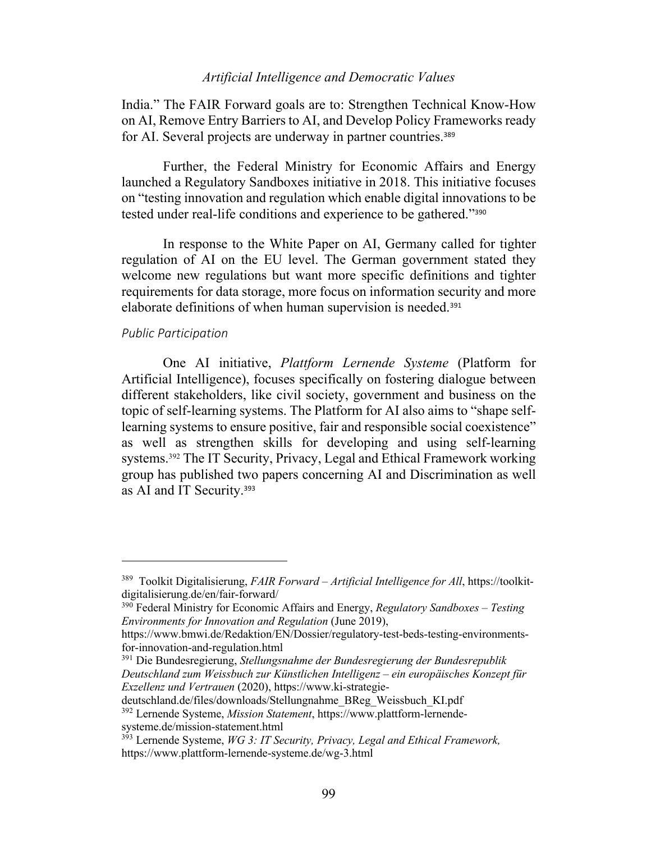India." The FAIR Forward goals are to: Strengthen Technical Know-How on AI, Remove Entry Barriers to AI, and Develop Policy Frameworks ready for AI. Several projects are underway in partner countries.<sup>389</sup>

Further, the Federal Ministry for Economic Affairs and Energy launched a Regulatory Sandboxes initiative in 2018. This initiative focuses on "testing innovation and regulation which enable digital innovations to be tested under real-life conditions and experience to be gathered."<sup>390</sup>

In response to the White Paper on AI, Germany called for tighter regulation of AI on the EU level. The German government stated they welcome new regulations but want more specific definitions and tighter requirements for data storage, more focus on information security and more elaborate definitions of when human supervision is needed.<sup>391</sup>

# *Public Participation*

One AI initiative, *Plattform Lernende Systeme* (Platform for Artificial Intelligence), focuses specifically on fostering dialogue between different stakeholders, like civil society, government and business on the topic of self-learning systems. The Platform for AI also aims to "shape selflearning systems to ensure positive, fair and responsible social coexistence" as well as strengthen skills for developing and using self-learning systems. <sup>392</sup> The IT Security, Privacy, Legal and Ethical Framework working group has published two papers concerning AI and Discrimination as well as AI and IT Security.<sup>393</sup>

<sup>389</sup> Toolkit Digitalisierung, *FAIR Forward – Artificial Intelligence for All*, https://toolkitdigitalisierung.de/en/fair-forward/

<sup>390</sup> Federal Ministry for Economic Affairs and Energy, *Regulatory Sandboxes – Testing Environments for Innovation and Regulation* (June 2019),

https://www.bmwi.de/Redaktion/EN/Dossier/regulatory-test-beds-testing-environmentsfor-innovation-and-regulation.html

<sup>391</sup> Die Bundesregierung, *Stellungsnahme der Bundesregierung der Bundesrepublik Deutschland zum Weissbuch zur Künstlichen Intelligenz – ein europäisches Konzept für Exzellenz und Vertrauen* (2020), https://www.ki-strategie-

deutschland.de/files/downloads/Stellungnahme\_BReg\_Weissbuch\_KI.pdf <sup>392</sup> Lernende Systeme, *Mission Statement*, https://www.plattform-lernende-

systeme.de/mission-statement.html

<sup>&</sup>lt;sup>393</sup> Lernende Systeme, *WG 3: IT Security, Privacy, Legal and Ethical Framework,* https://www.plattform-lernende-systeme.de/wg-3.html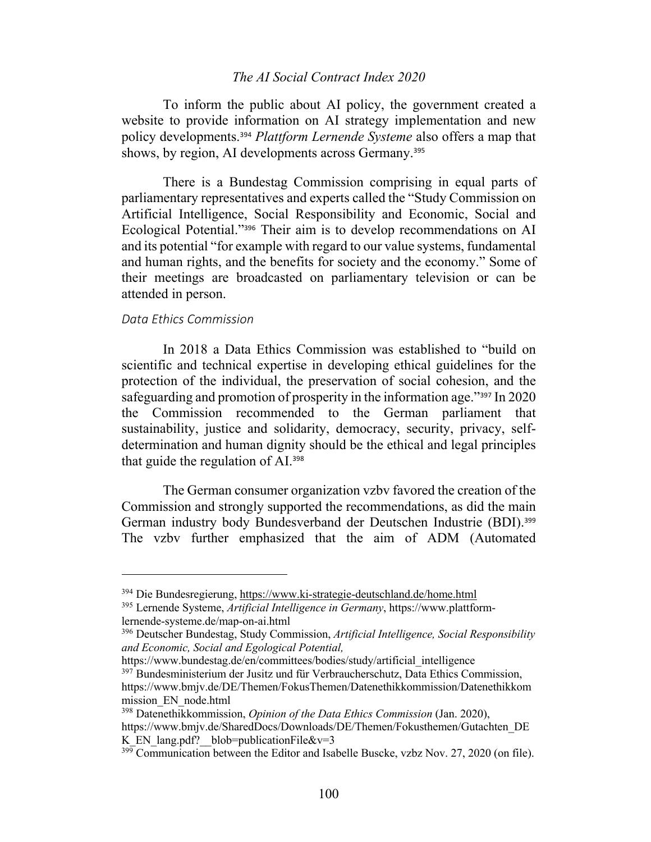To inform the public about AI policy, the government created a website to provide information on AI strategy implementation and new policy developments.<sup>394</sup> *Plattform Lernende Systeme* also offers a map that shows, by region, AI developments across Germany.<sup>395</sup>

There is a Bundestag Commission comprising in equal parts of parliamentary representatives and experts called the "Study Commission on Artificial Intelligence, Social Responsibility and Economic, Social and Ecological Potential."<sup>396</sup> Their aim is to develop recommendations on AI and its potential "for example with regard to our value systems, fundamental and human rights, and the benefits for society and the economy." Some of their meetings are broadcasted on parliamentary television or can be attended in person.

## *Data Ethics Commission*

In 2018 a Data Ethics Commission was established to "build on scientific and technical expertise in developing ethical guidelines for the protection of the individual, the preservation of social cohesion, and the safeguarding and promotion of prosperity in the information age."<sup>397</sup> In 2020 the Commission recommended to the German parliament that sustainability, justice and solidarity, democracy, security, privacy, selfdetermination and human dignity should be the ethical and legal principles that guide the regulation of AI.<sup>398</sup>

The German consumer organization vzbv favored the creation of the Commission and strongly supported the recommendations, as did the main German industry body Bundesverband der Deutschen Industrie (BDI).<sup>399</sup> The vzbv further emphasized that the aim of ADM (Automated

https://www.bundestag.de/en/committees/bodies/study/artificial\_intelligence <sup>397</sup> Bundesministerium der Jusitz und für Verbraucherschutz, Data Ethics Commission, https://www.bmjv.de/DE/Themen/FokusThemen/Datenethikkommission/Datenethikkom mission\_EN\_node.html

<sup>394</sup> Die Bundesregierung, https://www.ki-strategie-deutschland.de/home.html

<sup>395</sup> Lernende Systeme, *Artificial Intelligence in Germany*, https://www.plattformlernende-systeme.de/map-on-ai.html

<sup>396</sup> Deutscher Bundestag, Study Commission, *Artificial Intelligence, Social Responsibility and Economic, Social and Egological Potential,*

<sup>398</sup> Datenethikkommission, *Opinion of the Data Ethics Commission* (Jan. 2020), https://www.bmjv.de/SharedDocs/Downloads/DE/Themen/Fokusthemen/Gutachten\_DE K\_EN\_lang.pdf? blob=publicationFile&v=3

 $399$  Communication between the Editor and Isabelle Buscke, vzbz Nov. 27, 2020 (on file).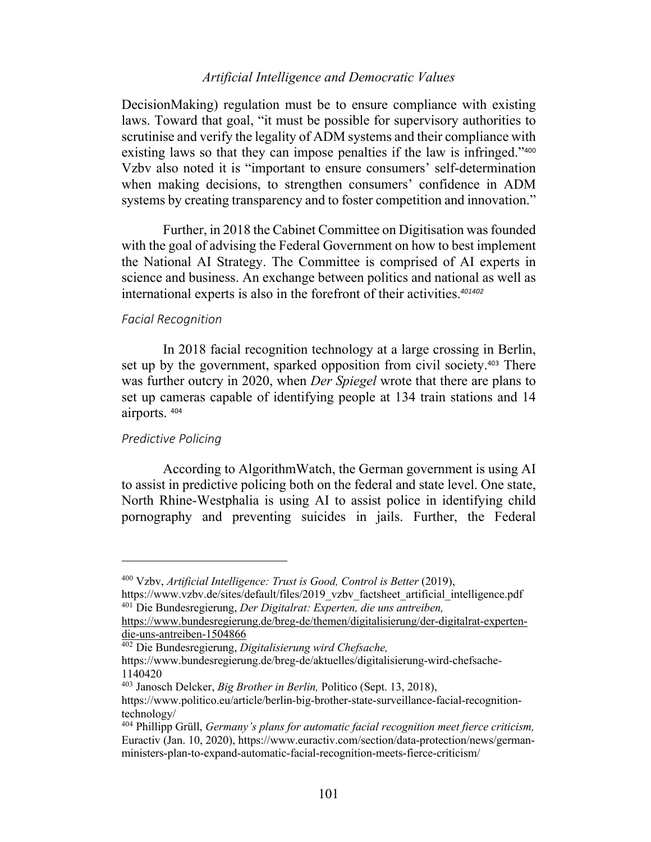DecisionMaking) regulation must be to ensure compliance with existing laws. Toward that goal, "it must be possible for supervisory authorities to scrutinise and verify the legality of ADM systems and their compliance with existing laws so that they can impose penalties if the law is infringed."<sup>400</sup> Vzbv also noted it is "important to ensure consumers' self-determination when making decisions, to strengthen consumers' confidence in ADM systems by creating transparency and to foster competition and innovation."

Further, in 2018 the Cabinet Committee on Digitisation was founded with the goal of advising the Federal Government on how to best implement the National AI Strategy. The Committee is comprised of AI experts in science and business. An exchange between politics and national as well as international experts is also in the forefront of their activities.*<sup>401402</sup>*

### *Facial Recognition*

In 2018 facial recognition technology at a large crossing in Berlin, set up by the government, sparked opposition from civil society. <sup>403</sup> There was further outcry in 2020, when *Der Spiegel* wrote that there are plans to set up cameras capable of identifying people at 134 train stations and 14 airports. <sup>404</sup>

# *Predictive Policing*

According to AlgorithmWatch, the German government is using AI to assist in predictive policing both on the federal and state level. One state, North Rhine-Westphalia is using AI to assist police in identifying child pornography and preventing suicides in jails. Further, the Federal

<sup>400</sup> Vzbv, *Artificial Intelligence: Trust is Good, Control is Better* (2019),

https://www.vzbv.de/sites/default/files/2019\_vzbv\_factsheet\_artificial\_intelligence.pdf <sup>401</sup> Die Bundesregierung, *Der Digitalrat: Experten, die uns antreiben,* 

https://www.bundesregierung.de/breg-de/themen/digitalisierung/der-digitalrat-expertendie-uns-antreiben-1504866

<sup>402</sup> Die Bundesregierung, *Digitalisierung wird Chefsache,*

https://www.bundesregierung.de/breg-de/aktuelles/digitalisierung-wird-chefsache-1140420

<sup>403</sup> Janosch Delcker, *Big Brother in Berlin,* Politico (Sept. 13, 2018),

https://www.politico.eu/article/berlin-big-brother-state-surveillance-facial-recognitiontechnology/

<sup>404</sup> Phillipp Grüll, *Germany's plans for automatic facial recognition meet fierce criticism,* Euractiv (Jan. 10, 2020), https://www.euractiv.com/section/data-protection/news/germanministers-plan-to-expand-automatic-facial-recognition-meets-fierce-criticism/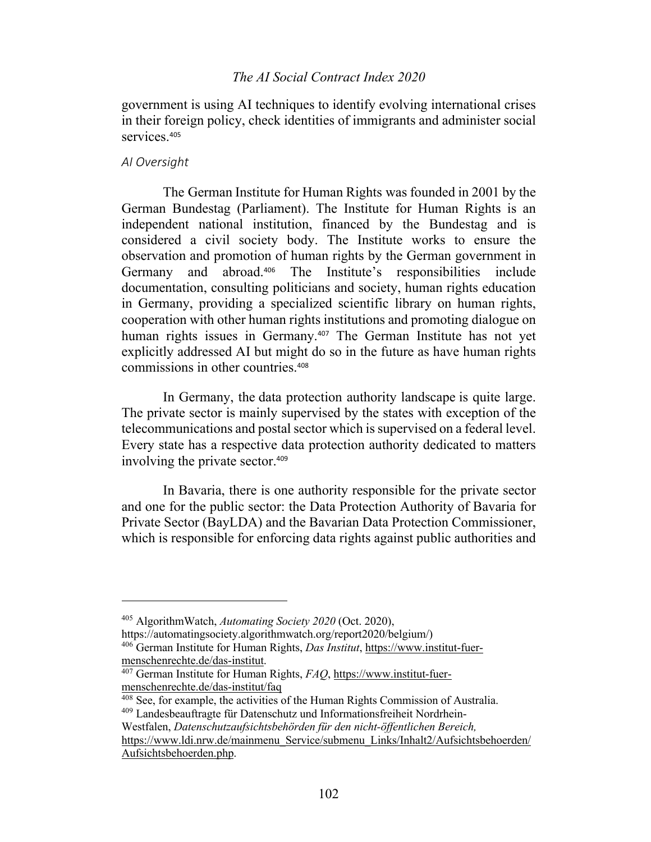government is using AI techniques to identify evolving international crises in their foreign policy, check identities of immigrants and administer social services.<sup>405</sup>

### *AI Oversight*

The German Institute for Human Rights was founded in 2001 by the German Bundestag (Parliament). The Institute for Human Rights is an independent national institution, financed by the Bundestag and is considered a civil society body. The Institute works to ensure the observation and promotion of human rights by the German government in Germany and abroad.<sup>406</sup> The Institute's responsibilities include documentation, consulting politicians and society, human rights education in Germany, providing a specialized scientific library on human rights, cooperation with other human rights institutions and promoting dialogue on human rights issues in Germany.<sup>407</sup> The German Institute has not yet explicitly addressed AI but might do so in the future as have human rights commissions in other countries.<sup>408</sup>

In Germany, the data protection authority landscape is quite large. The private sector is mainly supervised by the states with exception of the telecommunications and postal sector which is supervised on a federal level. Every state has a respective data protection authority dedicated to matters involving the private sector.<sup>409</sup>

In Bavaria, there is one authority responsible for the private sector and one for the public sector: the Data Protection Authority of Bavaria for Private Sector (BayLDA) and the Bavarian Data Protection Commissioner, which is responsible for enforcing data rights against public authorities and

<sup>405</sup> AlgorithmWatch, *Automating Society 2020* (Oct. 2020),

https://automatingsociety.algorithmwatch.org/report2020/belgium/)

<sup>406</sup> German Institute for Human Rights, *Das Institut*, https://www.institut-fuermenschenrechte.de/das-institut.

<sup>407</sup> German Institute for Human Rights, *FAQ*, https://www.institut-fuermenschenrechte.de/das-institut/faq

<sup>408</sup> See, for example, the activities of the Human Rights Commission of Australia. <sup>409</sup> Landesbeauftragte für Datenschutz und Informationsfreiheit Nordrhein-Westfalen, *Datenschutzaufsichtsbehörden für den nicht-öffentlichen Bereich,* https://www.ldi.nrw.de/mainmenu\_Service/submenu\_Links/Inhalt2/Aufsichtsbehoerden/ Aufsichtsbehoerden.php.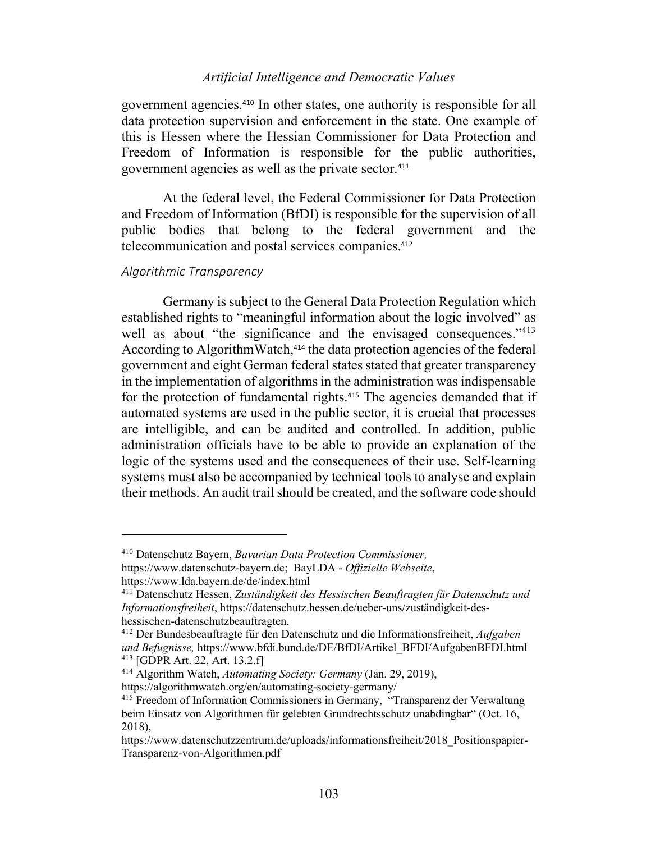government agencies.<sup>410</sup> In other states, one authority is responsible for all data protection supervision and enforcement in the state. One example of this is Hessen where the Hessian Commissioner for Data Protection and Freedom of Information is responsible for the public authorities, government agencies as well as the private sector.<sup>411</sup>

At the federal level, the Federal Commissioner for Data Protection and Freedom of Information (BfDI) is responsible for the supervision of all public bodies that belong to the federal government and the telecommunication and postal services companies.<sup>412</sup>

## *Algorithmic Transparency*

Germany is subject to the General Data Protection Regulation which established rights to "meaningful information about the logic involved" as well as about "the significance and the envisaged consequences."<sup>413</sup> According to AlgorithmWatch,<sup>414</sup> the data protection agencies of the federal government and eight German federal states stated that greater transparency in the implementation of algorithms in the administration was indispensable for the protection of fundamental rights.<sup>415</sup> The agencies demanded that if automated systems are used in the public sector, it is crucial that processes are intelligible, and can be audited and controlled. In addition, public administration officials have to be able to provide an explanation of the logic of the systems used and the consequences of their use. Self-learning systems must also be accompanied by technical tools to analyse and explain their methods. An audit trail should be created, and the software code should

<sup>410</sup> Datenschutz Bayern, *Bavarian Data Protection Commissioner,*

https://www.datenschutz-bayern.de; BayLDA - *Offizielle Webseite*,

https://www.lda.bayern.de/de/index.html

<sup>411</sup> Datenschutz Hessen, *Zuständigkeit des Hessischen Beauftragten für Datenschutz und Informationsfreiheit*, https://datenschutz.hessen.de/ueber-uns/zuständigkeit-deshessischen-datenschutzbeauftragten.

<sup>412</sup> Der Bundesbeauftragte für den Datenschutz und die Informationsfreiheit, *Aufgaben und Befugnisse,* https://www.bfdi.bund.de/DE/BfDI/Artikel\_BFDI/AufgabenBFDI.html <sup>413</sup> [GDPR Art. 22, Art. 13.2.f]

<sup>414</sup> Algorithm Watch, *Automating Society: Germany* (Jan. 29, 2019),

https://algorithmwatch.org/en/automating-society-germany/

<sup>&</sup>lt;sup>415</sup> Freedom of Information Commissioners in Germany, "Transparenz der Verwaltung beim Einsatz von Algorithmen für gelebten Grundrechtsschutz unabdingbar" (Oct. 16, 2018),

https://www.datenschutzzentrum.de/uploads/informationsfreiheit/2018\_Positionspapier-Transparenz-von-Algorithmen.pdf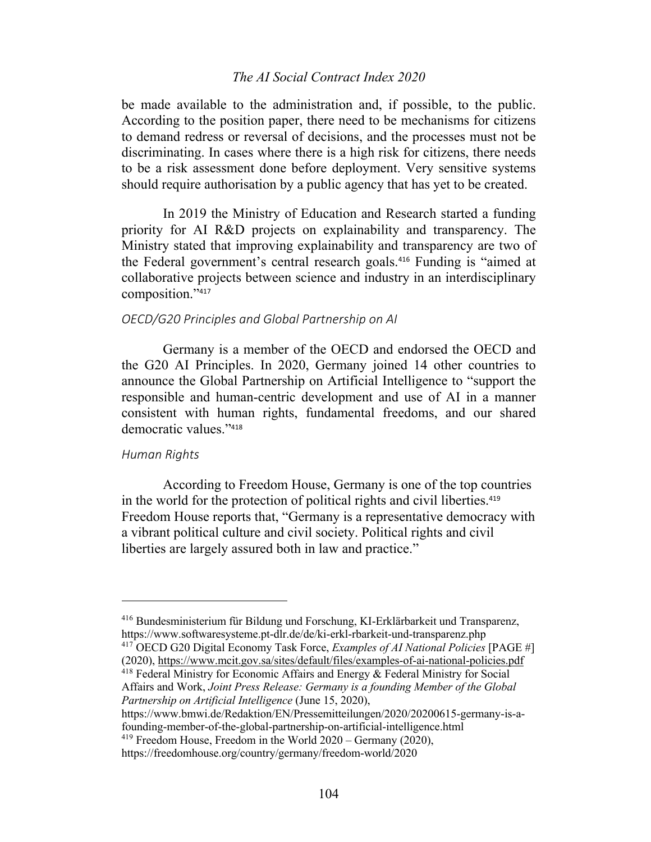be made available to the administration and, if possible, to the public. According to the position paper, there need to be mechanisms for citizens to demand redress or reversal of decisions, and the processes must not be discriminating. In cases where there is a high risk for citizens, there needs to be a risk assessment done before deployment. Very sensitive systems should require authorisation by a public agency that has yet to be created.

In 2019 the Ministry of Education and Research started a funding priority for AI R&D projects on explainability and transparency. The Ministry stated that improving explainability and transparency are two of the Federal government's central research goals.<sup>416</sup> Funding is "aimed at collaborative projects between science and industry in an interdisciplinary composition."<sup>417</sup>

## *OECD/G20 Principles and Global Partnership on AI*

Germany is a member of the OECD and endorsed the OECD and the G20 AI Principles. In 2020, Germany joined 14 other countries to announce the Global Partnership on Artificial Intelligence to "support the responsible and human-centric development and use of AI in a manner consistent with human rights, fundamental freedoms, and our shared democratic values."<sup>418</sup>

### *Human Rights*

According to Freedom House, Germany is one of the top countries in the world for the protection of political rights and civil liberties.<sup>419</sup> Freedom House reports that, "Germany is a representative democracy with a vibrant political culture and civil society. Political rights and civil liberties are largely assured both in law and practice."

https://www.bmwi.de/Redaktion/EN/Pressemitteilungen/2020/20200615-germany-is-afounding-member-of-the-global-partnership-on-artificial-intelligence.html

<sup>416</sup> Bundesministerium für Bildung und Forschung, KI-Erklärbarkeit und Transparenz, https://www.softwaresysteme.pt-dlr.de/de/ki-erkl-rbarkeit-und-transparenz.php

<sup>417</sup> OECD G20 Digital Economy Task Force, *Examples of AI National Policies* [PAGE #] (2020), https://www.mcit.gov.sa/sites/default/files/examples-of-ai-national-policies.pdf

 $418$  Federal Ministry for Economic Affairs and Energy  $&$  Federal Ministry for Social Affairs and Work, *Joint Press Release: Germany is a founding Member of the Global Partnership on Artificial Intelligence* (June 15, 2020),

 $419$  Freedom House, Freedom in the World  $2020 -$  Germany (2020),

https://freedomhouse.org/country/germany/freedom-world/2020